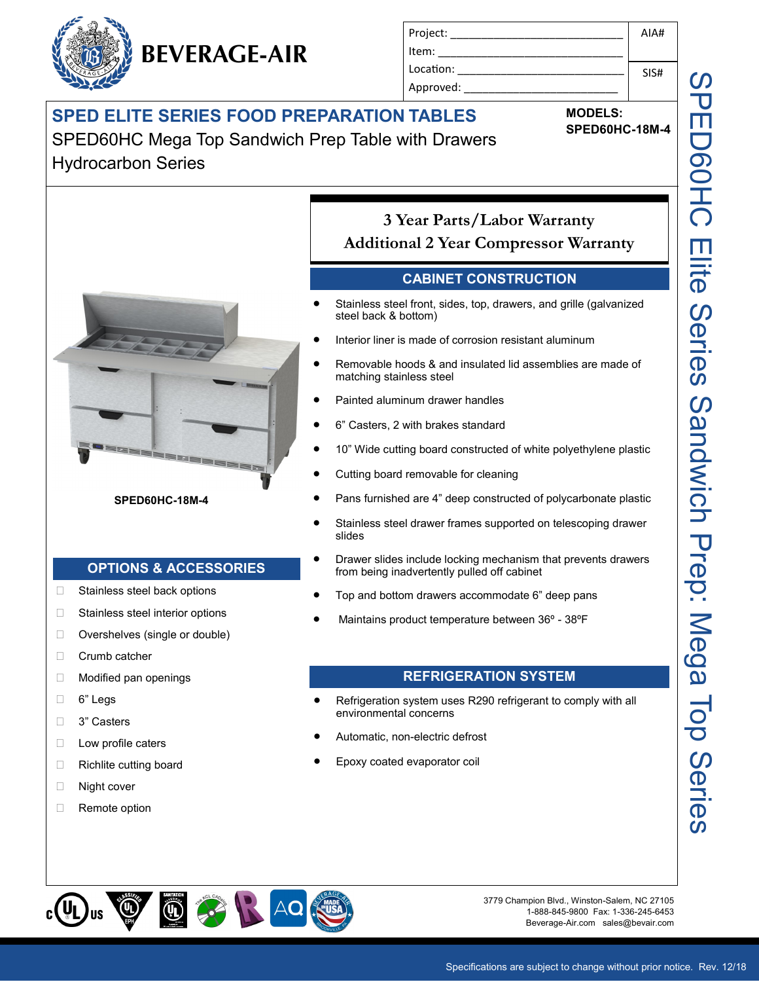# **SPED ELITE SERIES FOOD PREPARATION TABLES**

**BEVERAGE-AIR**

SPED60HC Mega Top Sandwich Prep Table with Drawers Hydrocarbon Series



#### **SPED60HC-18M-4**

#### **OPTIONS & ACCESSORIES**

- □ Stainless steel back options
- □ Stainless steel interior options
- □ Overshelves (single or double)
- Crumb catcher
- □ Modified pan openings
- 6" Legs
- □ 3" Casters
- $\Box$  Low profile caters
- □ Richlite cutting board
- □ Night cover
- Remote option

Project: \_\_\_\_\_\_\_\_\_\_\_\_\_\_\_\_\_\_\_\_\_\_\_\_\_\_\_\_ Item: Location: Approved:

**MODELS:**

**SPED60HC-18M-4**

AIA#

SIS#

# **3 Year Parts/Labor Warranty**

**Additional 2 Year Compressor Warranty**

### **CABINET CONSTRUCTION**

- Stainless steel front, sides, top, drawers, and grille (galvanized steel back & bottom)
- Interior liner is made of corrosion resistant aluminum
- Removable hoods & and insulated lid assemblies are made of matching stainless steel
- Painted aluminum drawer handles
- 6" Casters, 2 with brakes standard
- 10" Wide cutting board constructed of white polyethylene plastic
- Cutting board removable for cleaning
- Pans furnished are 4" deep constructed of polycarbonate plastic
- Stainless steel drawer frames supported on telescoping drawer slides
- Drawer slides include locking mechanism that prevents drawers from being inadvertently pulled off cabinet
- Top and bottom drawers accommodate 6" deep pans
- Maintains product temperature between 36º 38ºF

#### **REFRIGERATION SYSTEM**

- Refrigeration system uses R290 refrigerant to comply with all environmental concerns
- Automatic, non-electric defrost
- Epoxy coated evaporator coil



3779 Champion Blvd., Winston-Salem, NC 27105 1-888-845-9800 Fax: 1-336-245-6453 Beverage-Air.com sales@bevair.com